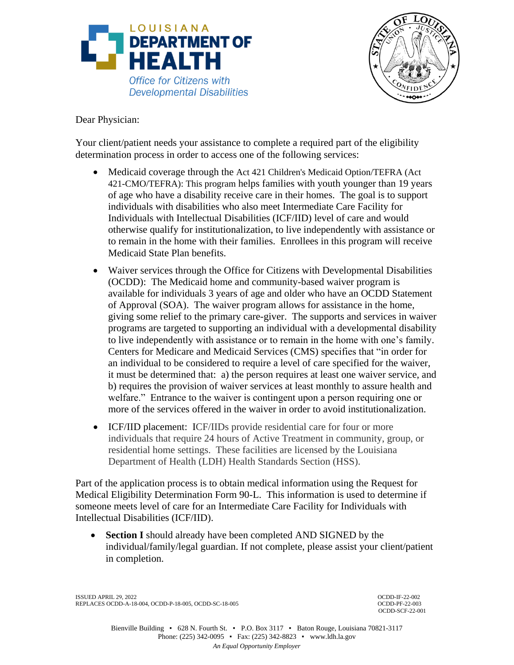



Dear Physician:

Your client/patient needs your assistance to complete a required part of the eligibility determination process in order to access one of the following services:

- Medicaid coverage through the Act 421 Children's Medicaid Option/TEFRA (Act 421-CMO/TEFRA): This program helps families with youth younger than 19 years of age who have a disability receive care in their homes. The goal is to support individuals with disabilities who also meet Intermediate Care Facility for Individuals with Intellectual Disabilities (ICF/IID) level of care and would otherwise qualify for institutionalization, to live independently with assistance or to remain in the home with their families. Enrollees in this program will receive Medicaid State Plan benefits.
- Waiver services through the Office for Citizens with Developmental Disabilities (OCDD): The Medicaid home and community-based waiver program is available for individuals 3 years of age and older who have an OCDD Statement of Approval (SOA). The waiver program allows for assistance in the home, giving some relief to the primary care-giver. The supports and services in waiver programs are targeted to supporting an individual with a developmental disability to live independently with assistance or to remain in the home with one's family. Centers for Medicare and Medicaid Services (CMS) specifies that "in order for an individual to be considered to require a level of care specified for the waiver, it must be determined that: a) the person requires at least one waiver service, and b) requires the provision of waiver services at least monthly to assure health and welfare." Entrance to the waiver is contingent upon a person requiring one or more of the services offered in the waiver in order to avoid institutionalization.
- ICF/IID placement: ICF/IIDs provide residential care for four or more individuals that require 24 hours of Active Treatment in community, group, or residential home settings. These facilities are licensed by the Louisiana Department of Health (LDH) Health Standards Section (HSS).

Part of the application process is to obtain medical information using the Request for Medical Eligibility Determination Form 90-L. This information is used to determine if someone meets level of care for an Intermediate Care Facility for Individuals with Intellectual Disabilities (ICF/IID).

 **Section I** should already have been completed AND SIGNED by the individual/family/legal guardian. If not complete, please assist your client/patient in completion.

ISSUED APRIL 29, 2022 OCDD-IF-22-002 REPLACES OCDD-A-18-004, OCDD-P-18-005, OCDD-SC-18-005

OCDD-SCF-22-001

Bienville Building • 628 N. Fourth St. • P.O. Box 3117 • Baton Rouge, Louisiana 70821-3117 Phone: (225) 342-0095 • Fax: (225) 342-8823 • www.ldh.la.gov *An Equal Opportunity Employer*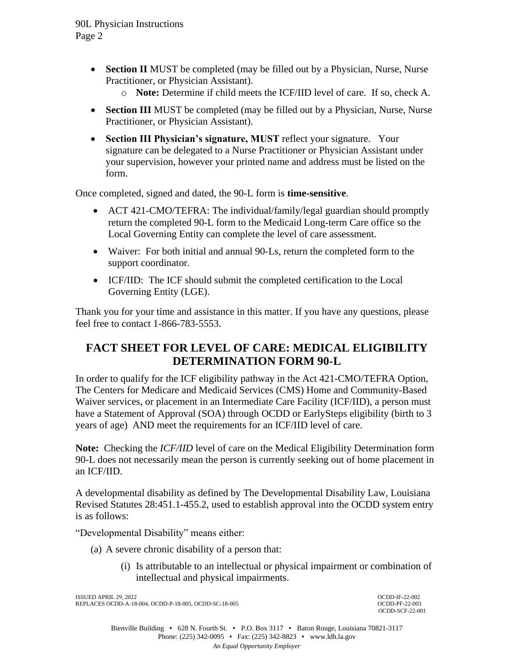- **Section II** MUST be completed (may be filled out by a Physician, Nurse, Nurse Practitioner, or Physician Assistant).
	- o **Note:** Determine if child meets the ICF/IID level of care. If so, check A.
- **Section III** MUST be completed (may be filled out by a Physician, Nurse, Nurse Practitioner, or Physician Assistant).
- **Section III Physician's signature, MUST** reflect your signature. Your signature can be delegated to a Nurse Practitioner or Physician Assistant under your supervision, however your printed name and address must be listed on the form.

Once completed, signed and dated, the 90-L form is **time-sensitive**.

- ACT 421-CMO/TEFRA: The individual/family/legal guardian should promptly return the completed 90-L form to the Medicaid Long-term Care office so the Local Governing Entity can complete the level of care assessment.
- Waiver: For both initial and annual 90-Ls, return the completed form to the support coordinator.
- ICF/IID: The ICF should submit the completed certification to the Local Governing Entity (LGE).

Thank you for your time and assistance in this matter. If you have any questions, please feel free to contact 1-866-783-5553.

## **FACT SHEET FOR LEVEL OF CARE: MEDICAL ELIGIBILITY DETERMINATION FORM 90-L**

In order to qualify for the ICF eligibility pathway in the Act 421-CMO/TEFRA Option, The Centers for Medicare and Medicaid Services (CMS) Home and Community-Based Waiver services, or placement in an Intermediate Care Facility (ICF/IID), a person must have a Statement of Approval (SOA) through OCDD or EarlySteps eligibility (birth to 3 years of age) AND meet the requirements for an ICF/IID level of care.

**Note:** Checking the *ICF/IID* level of care on the Medical Eligibility Determination form 90-L does not necessarily mean the person is currently seeking out of home placement in an ICF/IID.

A developmental disability as defined by The Developmental Disability Law, Louisiana Revised Statutes 28:451.1-455.2, used to establish approval into the OCDD system entry is as follows:

"Developmental Disability" means either:

- (a) A severe chronic disability of a person that:
	- (i) Is attributable to an intellectual or physical impairment or combination of intellectual and physical impairments.

ISSUED APRIL 29, 2022 OCDD-IF-22-002 REPLACES OCDD-A-18-004, OCDD-P-18-005, OCDD-SC-18-005 OCDD-PF-22-003

OCDD-SCF-22-001